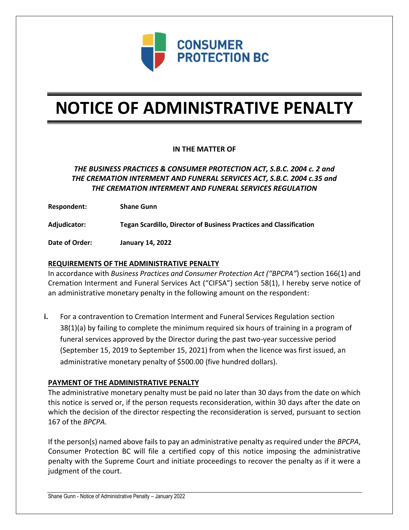

# **NOTICE OF ADMINISTRATIVE PENALTY**

## **IN THE MATTER OF**

# *THE BUSINESS PRACTICES & CONSUMER PROTECTION ACT, S.B.C. 2004 c. 2 and THE CREMATION INTERMENT AND FUNERAL SERVICES ACT, S.B.C. 2004 c.35 and THE CREMATION INTERMENT AND FUNERAL SERVICES REGULATION*

**Respondent: Shane Gunn**

**Adjudicator: Tegan Scardillo, Director of Business Practices and Classification**

**Date of Order: January 14, 2022**

### **REQUIREMENTS OF THE ADMINISTRATIVE PENALTY**

In accordance with *Business Practices and Consumer Protection Act ("BPCPA"*) section 166(1) and Cremation Interment and Funeral Services Act ("CIFSA") section 58(1), I hereby serve notice of an administrative monetary penalty in the following amount on the respondent:

**i.** For a contravention to Cremation Interment and Funeral Services Regulation section 38(1)(a) by failing to complete the minimum required six hours of training in a program of funeral services approved by the Director during the past two-year successive period (September 15, 2019 to September 15, 2021) from when the licence was first issued, an administrative monetary penalty of \$500.00 (five hundred dollars).

#### **PAYMENT OF THE ADMINISTRATIVE PENALTY**

The administrative monetary penalty must be paid no later than 30 days from the date on which this notice is served or, if the person requests reconsideration, within 30 days after the date on which the decision of the director respecting the reconsideration is served, pursuant to section 167 of the *BPCPA.* 

If the person(s) named above fails to pay an administrative penalty as required under the *BPCPA*, Consumer Protection BC will file a certified copy of this notice imposing the administrative penalty with the Supreme Court and initiate proceedings to recover the penalty as if it were a judgment of the court.